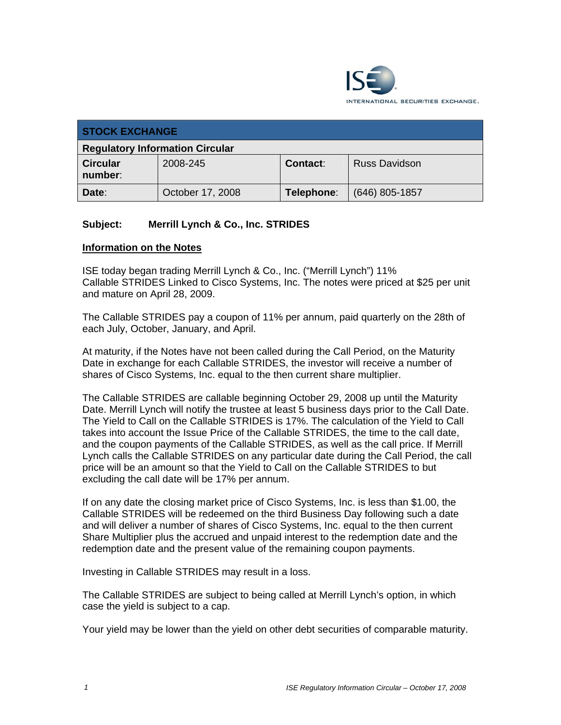

| <b>STOCK EXCHANGE</b>                  |                  |                 |                      |  |
|----------------------------------------|------------------|-----------------|----------------------|--|
| <b>Regulatory Information Circular</b> |                  |                 |                      |  |
| <b>Circular</b><br>number:             | 2008-245         | <b>Contact:</b> | <b>Russ Davidson</b> |  |
| Date:                                  | October 17, 2008 | Telephone:      | $(646)$ 805-1857     |  |

## **Subject: Merrill Lynch & Co., Inc. STRIDES**

## **Information on the Notes**

ISE today began trading Merrill Lynch & Co., Inc. ("Merrill Lynch") 11% Callable STRIDES Linked to Cisco Systems, Inc. The notes were priced at \$25 per unit and mature on April 28, 2009.

The Callable STRIDES pay a coupon of 11% per annum, paid quarterly on the 28th of each July, October, January, and April.

At maturity, if the Notes have not been called during the Call Period, on the Maturity Date in exchange for each Callable STRIDES, the investor will receive a number of shares of Cisco Systems, Inc. equal to the then current share multiplier.

The Callable STRIDES are callable beginning October 29, 2008 up until the Maturity Date. Merrill Lynch will notify the trustee at least 5 business days prior to the Call Date. The Yield to Call on the Callable STRIDES is 17%. The calculation of the Yield to Call takes into account the Issue Price of the Callable STRIDES, the time to the call date, and the coupon payments of the Callable STRIDES, as well as the call price. If Merrill Lynch calls the Callable STRIDES on any particular date during the Call Period, the call price will be an amount so that the Yield to Call on the Callable STRIDES to but excluding the call date will be 17% per annum.

If on any date the closing market price of Cisco Systems, Inc. is less than \$1.00, the Callable STRIDES will be redeemed on the third Business Day following such a date and will deliver a number of shares of Cisco Systems, Inc. equal to the then current Share Multiplier plus the accrued and unpaid interest to the redemption date and the redemption date and the present value of the remaining coupon payments.

Investing in Callable STRIDES may result in a loss.

The Callable STRIDES are subject to being called at Merrill Lynch's option, in which case the yield is subject to a cap.

Your yield may be lower than the yield on other debt securities of comparable maturity.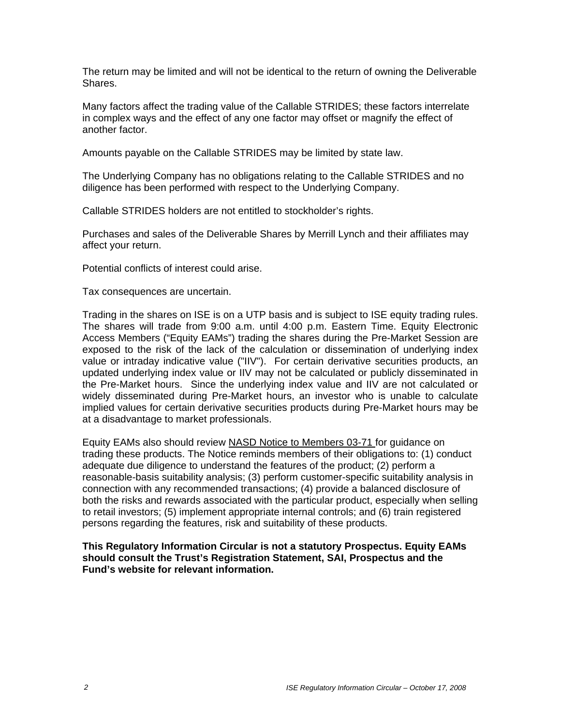The return may be limited and will not be identical to the return of owning the Deliverable Shares.

Many factors affect the trading value of the Callable STRIDES; these factors interrelate in complex ways and the effect of any one factor may offset or magnify the effect of another factor.

Amounts payable on the Callable STRIDES may be limited by state law.

The Underlying Company has no obligations relating to the Callable STRIDES and no diligence has been performed with respect to the Underlying Company.

Callable STRIDES holders are not entitled to stockholder's rights.

Purchases and sales of the Deliverable Shares by Merrill Lynch and their affiliates may affect your return.

Potential conflicts of interest could arise.

Tax consequences are uncertain.

Trading in the shares on ISE is on a UTP basis and is subject to ISE equity trading rules. The shares will trade from 9:00 a.m. until 4:00 p.m. Eastern Time. Equity Electronic Access Members ("Equity EAMs") trading the shares during the Pre-Market Session are exposed to the risk of the lack of the calculation or dissemination of underlying index value or intraday indicative value ("IIV"). For certain derivative securities products, an updated underlying index value or IIV may not be calculated or publicly disseminated in the Pre-Market hours. Since the underlying index value and IIV are not calculated or widely disseminated during Pre-Market hours, an investor who is unable to calculate implied values for certain derivative securities products during Pre-Market hours may be at a disadvantage to market professionals.

Equity EAMs also should review NASD Notice to Members 03-71 for guidance on trading these products. The Notice reminds members of their obligations to: (1) conduct adequate due diligence to understand the features of the product; (2) perform a reasonable-basis suitability analysis; (3) perform customer-specific suitability analysis in connection with any recommended transactions; (4) provide a balanced disclosure of both the risks and rewards associated with the particular product, especially when selling to retail investors; (5) implement appropriate internal controls; and (6) train registered persons regarding the features, risk and suitability of these products.

**This Regulatory Information Circular is not a statutory Prospectus. Equity EAMs should consult the Trust's Registration Statement, SAI, Prospectus and the Fund's website for relevant information.**